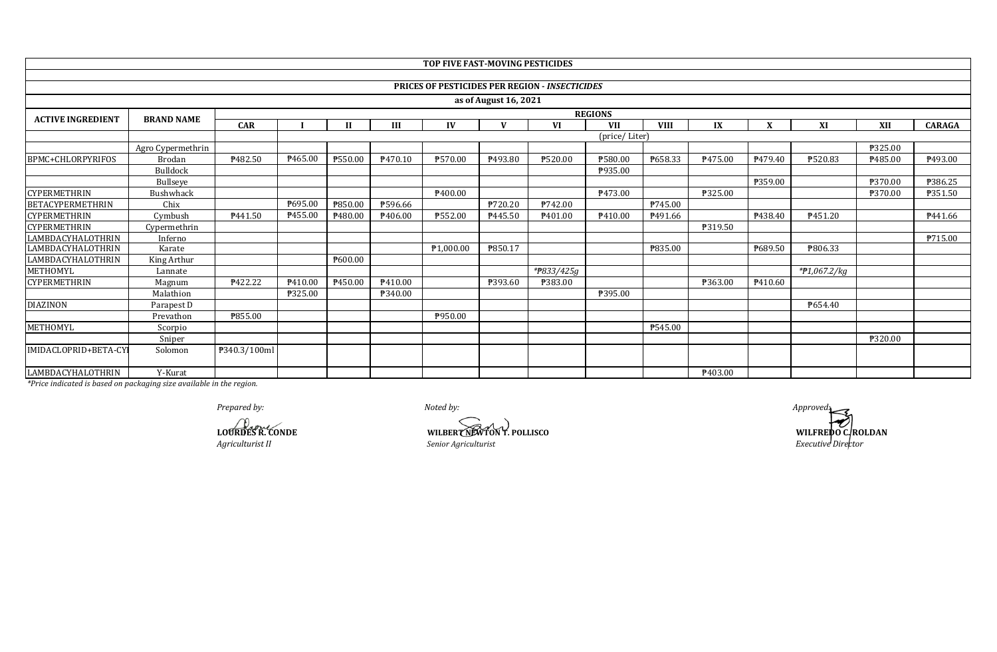|                          |                   |                |                |              |         | TOP FIVE FAST-MOVING PESTICIDES |                       |                                                       |                |             |         |         |                      |         |               |
|--------------------------|-------------------|----------------|----------------|--------------|---------|---------------------------------|-----------------------|-------------------------------------------------------|----------------|-------------|---------|---------|----------------------|---------|---------------|
|                          |                   |                |                |              |         |                                 |                       |                                                       |                |             |         |         |                      |         |               |
|                          |                   |                |                |              |         |                                 |                       | <b>PRICES OF PESTICIDES PER REGION - INSECTICIDES</b> |                |             |         |         |                      |         |               |
|                          |                   |                |                |              |         |                                 | as of August 16, 2021 |                                                       |                |             |         |         |                      |         |               |
| <b>ACTIVE INGREDIENT</b> | <b>BRAND NAME</b> |                |                |              |         |                                 |                       |                                                       | <b>REGIONS</b> |             |         |         |                      |         |               |
|                          |                   | <b>CAR</b>     |                | $\mathbf{H}$ | Ш       | IV                              |                       | VI                                                    | <b>VII</b>     | <b>VIII</b> | IX      | X       | XI                   | XII     | <b>CARAGA</b> |
|                          |                   |                |                |              |         |                                 |                       |                                                       | (price/Liter)  |             |         |         |                      |         |               |
|                          | Agro Cypermethrin |                |                |              |         |                                 |                       |                                                       |                |             |         |         |                      | ₱325.00 |               |
| BPMC+CHLORPYRIFOS        | Brodan            | ₱482.50        | ₱465.00        | ₱550.00      | P470.10 | P570.00                         | P493.80               | ₱520.00                                               | ₱580.00        | ₱658.33     | P475.00 | P479.40 | ₱520.83              | P485.00 | ₱493.00       |
|                          | <b>Bulldock</b>   |                |                |              |         |                                 |                       |                                                       | P935.00        |             |         |         |                      |         |               |
|                          | <b>Bullseve</b>   |                |                |              |         |                                 |                       |                                                       |                |             |         | ₱359.00 |                      | ₱370.00 | ₱386.25       |
| <b>CYPERMETHRIN</b>      | Bushwhack         |                |                |              |         | P400.00                         |                       |                                                       | P473.00        |             | P325.00 |         |                      | ₱370.00 | ₱351.50       |
| <b>BETACYPERMETHRIN</b>  | Chix              |                | ₱695.00        | P850.00      | ₱596.66 |                                 | ₱720.20               | P742.00                                               |                | ₱745.00     |         |         |                      |         |               |
| <b>CYPERMETHRIN</b>      | Cymbush           | P441.50        | P455.00        | P480.00      | ₹406.00 | ₱552.00                         | P445.50               | P <sub>401.00</sub>                                   | P410.00        | P491.66     |         | P438.40 | $\overline{P451.20}$ |         | P441.66       |
| <b>CYPERMETHRIN</b>      | Cypermethrin      |                |                |              |         |                                 |                       |                                                       |                |             | P319.50 |         |                      |         |               |
| <b>LAMBDACYHALOTHRIN</b> | Inferno           |                |                |              |         |                                 |                       |                                                       |                |             |         |         |                      |         | P715.00       |
| LAMBDACYHALOTHRIN        | Karate            |                |                |              |         | P <sub>1.000.00</sub>           | ₱850.17               |                                                       |                | ₱835.00     |         | P689.50 | ₹806.33              |         |               |
| LAMBDACYHALOTHRIN        | King Arthur       |                |                | P600.00      |         |                                 |                       |                                                       |                |             |         |         |                      |         |               |
| METHOMYL                 | Lannate           |                |                |              |         |                                 |                       | *#833/425g                                            |                |             |         |         | *#1,067.2/kg         |         |               |
| <b>CYPERMETHRIN</b>      | Magnum            | <b>P422.22</b> | P410.00        | P450.00      | P410.00 |                                 | ₱393.60               | ₱383.00                                               |                |             | ₱363.00 | P410.60 |                      |         |               |
|                          | Malathion         |                | <b>P325.00</b> |              | P340.00 |                                 |                       |                                                       | ₱395.00        |             |         |         |                      |         |               |
| <b>DIAZINON</b>          | Parapest D        |                |                |              |         |                                 |                       |                                                       |                |             |         |         | P654.40              |         |               |
|                          | Prevathon         | ₱855.00        |                |              |         | P950.00                         |                       |                                                       |                |             |         |         |                      |         |               |
| METHOMYL                 | Scorpio           |                |                |              |         |                                 |                       |                                                       |                | ₱545.00     |         |         |                      |         |               |
|                          | Sniper            |                |                |              |         |                                 |                       |                                                       |                |             |         |         |                      | ₱320.00 |               |
| IMIDACLOPRID+BETA-CY     | Solomon           | P340.3/100ml   |                |              |         |                                 |                       |                                                       |                |             |         |         |                      |         |               |
| LAMBDACYHALOTHRIN        | Y-Kurat           |                |                |              |         |                                 |                       |                                                       |                |             | P403.00 |         |                      |         |               |

*Prepared by: Noted by: Approved:*

*Agriculturist II Senior Agriculturist* 

**LOURDES R. CONDE WILBERT NEWTON T. POLLISCO** 

**WILFREDO C. ROLDAN**<br>*Executive Director*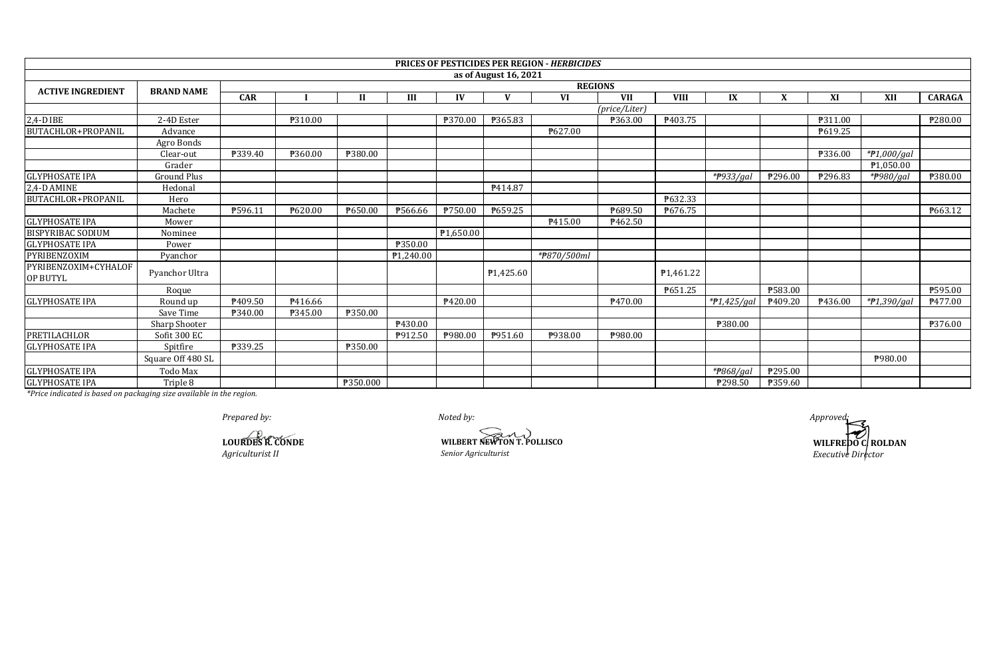|                                         |                   |                |                |          |           |           |                        | <b>PRICES OF PESTICIDES PER REGION - HERBICIDES</b> |               |                        |                        |         |         |                       |                  |  |  |
|-----------------------------------------|-------------------|----------------|----------------|----------|-----------|-----------|------------------------|-----------------------------------------------------|---------------|------------------------|------------------------|---------|---------|-----------------------|------------------|--|--|
|                                         |                   |                |                |          |           |           | as of August 16, 2021  |                                                     |               |                        |                        |         |         |                       |                  |  |  |
| <b>ACTIVE INGREDIENT</b>                | <b>BRAND NAME</b> |                | <b>REGIONS</b> |          |           |           |                        |                                                     |               |                        |                        |         |         |                       |                  |  |  |
|                                         |                   | <b>CAR</b>     |                | Н        | III       | IV        | $\mathbf{V}$           | <b>VI</b>                                           | <b>VII</b>    | <b>VIII</b>            | IX                     | X       | XI      | XII                   | <b>CARAGA</b>    |  |  |
|                                         |                   |                |                |          |           |           |                        |                                                     | (price/Liter) |                        |                        |         |         |                       |                  |  |  |
| $2,4-D$ IBE                             | 2-4D Ester        |                | ₱310.00        |          |           | ₱370.00   | ₱365.83                |                                                     | P363.00       | P403.75                |                        |         | ₱311.00 |                       | ₱280.00          |  |  |
| BUTACHLOR+PROPANIL                      | Advance           |                |                |          |           |           |                        | ₱627.00                                             |               |                        |                        |         | P619.25 |                       |                  |  |  |
|                                         | Agro Bonds        |                |                |          |           |           |                        |                                                     |               |                        |                        |         |         |                       |                  |  |  |
|                                         | Clear-out         | ₱339.40        | ₱360.00        | ₱380.00  |           |           |                        |                                                     |               |                        |                        |         | ₱336.00 | $*P1,000/gal$         |                  |  |  |
|                                         | Grader            |                |                |          |           |           |                        |                                                     |               |                        |                        |         |         | P <sub>1,050.00</sub> |                  |  |  |
| <b>GLYPHOSATE IPA</b>                   | Ground Plus       |                |                |          |           |           |                        |                                                     |               |                        | *#933/gal              | ₱296.00 | ₱296.83 | *#980/gal             | <b>\\$380.00</b> |  |  |
| 2,4-D AMINE                             | Hedonal           |                |                |          |           |           | P414.87                |                                                     |               |                        |                        |         |         |                       |                  |  |  |
| BUTACHLOR+PROPANIL                      | Hero              |                |                |          |           |           |                        |                                                     |               | P632.33                |                        |         |         |                       |                  |  |  |
|                                         | Machete           | P596.11        | ₱620.00        | ₱650.00  | ₱566.66   | ₱750.00   | P659.25                |                                                     | P689.50       | P676.75                |                        |         |         |                       | P663.12          |  |  |
| <b>GLYPHOSATE IPA</b>                   | Mower             |                |                |          |           |           |                        | P415.00                                             | P462.50       |                        |                        |         |         |                       |                  |  |  |
| <b>BISPYRIBAC SODIUM</b>                | Nominee           |                |                |          |           | P1,650.00 |                        |                                                     |               |                        |                        |         |         |                       |                  |  |  |
| <b>GLYPHOSATE IPA</b>                   | Power             |                |                |          | P350.00   |           |                        |                                                     |               |                        |                        |         |         |                       |                  |  |  |
| PYRIBENZOXIM                            | Pyanchor          |                |                |          | P1,240.00 |           |                        | *#870/500ml                                         |               |                        |                        |         |         |                       |                  |  |  |
| PYRIBENZOXIM+CYHALOF<br><b>OP BUTYL</b> | Pyanchor Ultra    |                |                |          |           |           | P <sub>1</sub> ,425.60 |                                                     |               | P <sub>1</sub> ,461.22 |                        |         |         |                       |                  |  |  |
|                                         | Roque             |                |                |          |           |           |                        |                                                     |               | P651.25                |                        | ₱583.00 |         |                       | ₱595.00          |  |  |
| <b>GLYPHOSATE IPA</b>                   | Round up          | P409.50        | ₹416.66        |          |           | P420.00   |                        |                                                     | P470.00       |                        | *P1,425/gal            | P409.20 | P436.00 | *#1,390/gal           | P477.00          |  |  |
|                                         | Save Time         | ₱340.00        | ₱345.00        | ₱350.00  |           |           |                        |                                                     |               |                        |                        |         |         |                       |                  |  |  |
|                                         | Sharp Shooter     |                |                |          | P430.00   |           |                        |                                                     |               |                        | ₱380.00                |         |         |                       | P376.00          |  |  |
| PRETILACHLOR                            | Sofit 300 EC      |                |                |          | P912.50   | ₱980.00   | ₱951.60                | ₱938.00                                             | ₱980.00       |                        |                        |         |         |                       |                  |  |  |
| <b>GLYPHOSATE IPA</b>                   | Spitfire          | <b>P339.25</b> |                | P350.00  |           |           |                        |                                                     |               |                        |                        |         |         |                       |                  |  |  |
|                                         | Square Off 480 SL |                |                |          |           |           |                        |                                                     |               |                        |                        |         |         | ₱980.00               |                  |  |  |
| <b>GLYPHOSATE IPA</b>                   | Todo Max          |                |                |          |           |           |                        |                                                     |               |                        | * <del>P</del> 868/gal | ₱295.00 |         |                       |                  |  |  |
| <b>GLYPHOSATE IPA</b>                   | Triple 8          |                |                | ₱350.000 |           |           |                        |                                                     |               |                        | ₱298.50                | P359.60 |         |                       |                  |  |  |

*Prepared by: Noted by: Approved:*

*Agriculturist II Senior Agriculturist Executive Director* **LOURDES R. CONDE**<br>Agriculturist II **WILBERT NEWTON T. POLLISCO**<br>*Senior Agriculturist* 

**WILFREDO C. ROLDAN**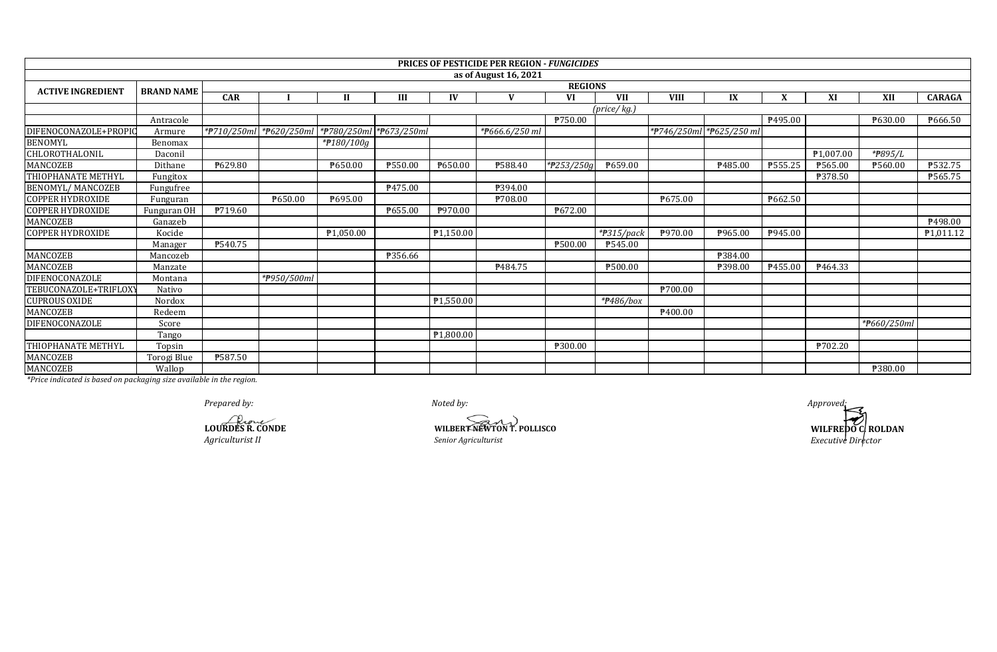|                          |                   |                |                         |                         |                |                        | <b>PRICES OF PESTICIDE PER REGION - FUNGICIDES</b> |            |                             |                     |                          |                |                        |                      |                        |  |
|--------------------------|-------------------|----------------|-------------------------|-------------------------|----------------|------------------------|----------------------------------------------------|------------|-----------------------------|---------------------|--------------------------|----------------|------------------------|----------------------|------------------------|--|
|                          |                   |                |                         |                         |                |                        | as of August 16, 2021                              |            |                             |                     |                          |                |                        |                      |                        |  |
| <b>ACTIVE INGREDIENT</b> | <b>BRAND NAME</b> |                | <b>REGIONS</b>          |                         |                |                        |                                                    |            |                             |                     |                          |                |                        |                      |                        |  |
|                          |                   | <b>CAR</b>     |                         | $\mathbf{H}$            | III            | IV                     | $\mathbf{V}$                                       | <b>VI</b>  | <b>VII</b>                  | <b>VIII</b>         | IX                       | X              | XI                     | XII                  | <b>CARAGA</b>          |  |
|                          |                   |                |                         |                         |                |                        |                                                    |            | $(\text{price}/\text{kg.})$ |                     |                          |                |                        |                      |                        |  |
|                          | Antracole         |                |                         |                         |                |                        |                                                    | ₱750.00    |                             |                     |                          | P495.00        |                        | P630.00              | P666.50                |  |
| DIFENOCONAZOLE+PROPIO    | Armure            |                | *#710/250ml *#620/250ml | *#780/250ml *#673/250ml |                |                        | *#666.6/250 ml                                     |            |                             |                     | *P746/250ml *P625/250 ml |                |                        |                      |                        |  |
| <b>BENOMYL</b>           | Benomax           |                |                         | *P180/100g              |                |                        |                                                    |            |                             |                     |                          |                |                        |                      |                        |  |
| CHLOROTHALONIL           | Daconil           |                |                         |                         |                |                        |                                                    |            |                             |                     |                          |                | P <sub>1</sub> ,007.00 | * <del>P</del> 895/L |                        |  |
| <b>MANCOZEB</b>          | Dithane           | ₱629.80        |                         | P650.00                 | <b>P550.00</b> | ₱650.00                | <b>P588.40</b>                                     | *P253/250g | P659.00                     |                     | ₱485.00                  | P555.25        | ₱565.00                | P560.00              | P532.75                |  |
| THIOPHANATE METHYL       | Fungitox          |                |                         |                         |                |                        |                                                    |            |                             |                     |                          |                | <b>P378.50</b>         |                      | P565.75                |  |
| <b>BENOMYL/ MANCOZEB</b> | Fungufree         |                |                         |                         | P475.00        |                        | ₱394.00                                            |            |                             |                     |                          |                |                        |                      |                        |  |
| <b>COPPER HYDROXIDE</b>  | Funguran          |                | P650.00                 | ₱695.00                 |                |                        | ₱708.00                                            |            |                             | P675.00             |                          | <b>P662.50</b> |                        |                      |                        |  |
| <b>COPPER HYDROXIDE</b>  | Funguran OH       | P719.60        |                         |                         | P655.00        | P970.00                |                                                    | ₱672.00    |                             |                     |                          |                |                        |                      |                        |  |
| MANCOZEB                 | Ganazeb           |                |                         |                         |                |                        |                                                    |            |                             |                     |                          |                |                        |                      | P498.00                |  |
| <b>COPPER HYDROXIDE</b>  | Kocide            |                |                         | ₱1,050.00               |                | $\overline{P1,150.00}$ |                                                    |            | $\overline{P}315$ /pack     | P970.00             | P965.00                  | P945.00        |                        |                      | P <sub>1</sub> ,011.12 |  |
|                          | Manager           | <b>P540.75</b> |                         |                         |                |                        |                                                    | ₱500.00    | P545.00                     |                     |                          |                |                        |                      |                        |  |
| <b>MANCOZEB</b>          | Mancozeb          |                |                         |                         | P356.66        |                        |                                                    |            |                             |                     | <b>P384.00</b>           |                |                        |                      |                        |  |
| <b>MANCOZEB</b>          | Manzate           |                |                         |                         |                |                        | P484.75                                            |            | ₱500.00                     |                     | ₱398.00                  | P455.00        | P <sub>464.33</sub>    |                      |                        |  |
| <b>DIFENOCONAZOLE</b>    | Montana           |                | *#950/500ml             |                         |                |                        |                                                    |            |                             |                     |                          |                |                        |                      |                        |  |
| TEBUCONAZOLE+TRIFLOXY    | Nativo            |                |                         |                         |                |                        |                                                    |            |                             | <b>\700.00</b>      |                          |                |                        |                      |                        |  |
| <b>CUPROUS OXIDE</b>     | Nordox            |                |                         |                         |                | P1,550.00              |                                                    |            | *#486/box                   |                     |                          |                |                        |                      |                        |  |
| <b>MANCOZEB</b>          | Redeem            |                |                         |                         |                |                        |                                                    |            |                             | P <sub>400.00</sub> |                          |                |                        |                      |                        |  |
| DIFENOCONAZOLE           | Score             |                |                         |                         |                |                        |                                                    |            |                             |                     |                          |                |                        | *#660/250ml          |                        |  |
|                          | Tango             |                |                         |                         |                | P <sub>1,800.00</sub>  |                                                    |            |                             |                     |                          |                |                        |                      |                        |  |
| THIOPHANATE METHYL       | Topsin            |                |                         |                         |                |                        |                                                    | ₱300.00    |                             |                     |                          |                | ₱702.20                |                      |                        |  |
| MANCOZEB                 | Torogi Blue       | ₱587.50        |                         |                         |                |                        |                                                    |            |                             |                     |                          |                |                        |                      |                        |  |
| MANCOZEB                 | Wallop            |                |                         |                         |                |                        |                                                    |            |                             |                     |                          |                |                        | ₱380.00              |                        |  |

*Prepared by: Noted by: Approved:*

*Agriculturist II Senior Agriculturist Executive Director* **LOURDES R. CONDE**<br> *LOURDES R. CONDE*<br> *Agriculturist II Senior Agriculturist* 

**WILFREDO C. ROLDAN**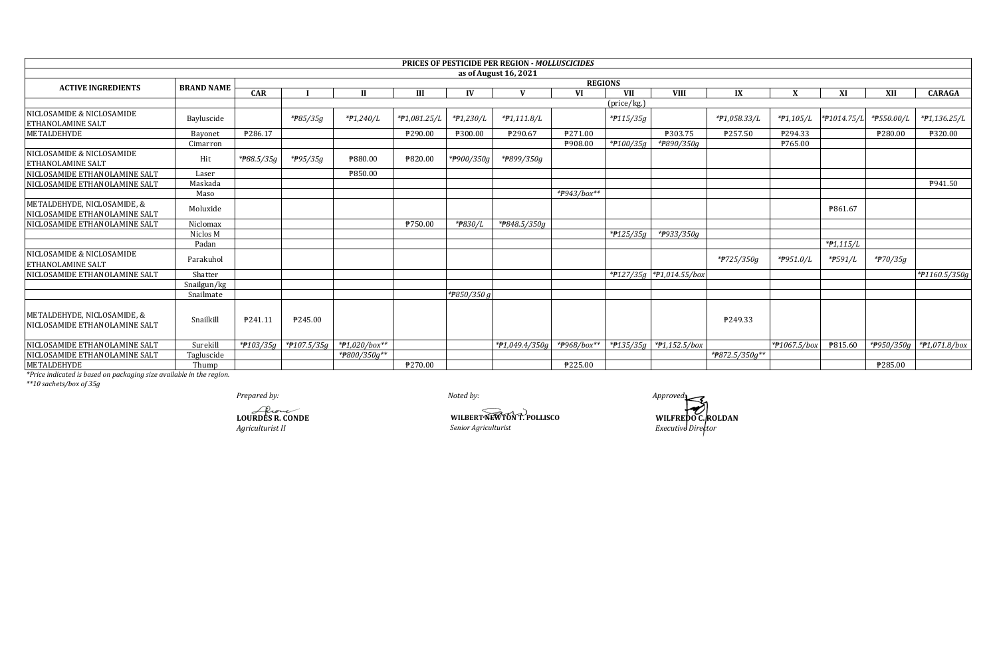|                                                              |                   |                |                       |               |              |                         | <b>PRICES OF PESTICIDE PER REGION - MOLLUSCICIDES</b> |                            |                      |                               |                |                        |             |                         |               |
|--------------------------------------------------------------|-------------------|----------------|-----------------------|---------------|--------------|-------------------------|-------------------------------------------------------|----------------------------|----------------------|-------------------------------|----------------|------------------------|-------------|-------------------------|---------------|
|                                                              |                   |                |                       |               |              |                         | as of August 16, 2021                                 |                            |                      |                               |                |                        |             |                         |               |
| <b>ACTIVE INGREDIENTS</b>                                    | <b>BRAND NAME</b> | <b>REGIONS</b> |                       |               |              |                         |                                                       |                            |                      |                               |                |                        |             |                         |               |
|                                                              |                   | CAR            |                       |               | Ш            | $\mathbf{I} \mathbf{V}$ |                                                       | VI                         | <b>VII</b>           | <b>VIII</b>                   | IX             |                        | XI          | XII                     | <b>CARAGA</b> |
|                                                              |                   |                |                       |               |              |                         |                                                       |                            | (price/kg.)          |                               |                |                        |             |                         |               |
| NICLOSAMIDE & NICLOSAMIDE<br><b>ETHANOLAMINE SALT</b>        | Bayluscide        |                | * <del>P</del> 85/35g | *#1,240/L     | *#1,081.25/L | *#1,230/L               | $*P1,111.8/L$                                         |                            | $*$ P115/35g         |                               | *#1,058.33/L   | $*P1,105/L$            | *#1014.75/L | *P550.00/L              | *#1,136.25/L  |
| <b>METALDEHYDE</b>                                           | Bayonet           | ₱286.17        |                       |               | ₱290.00      | ₱300.00                 | P290.67                                               | ₱271.00                    |                      | ₱303.75                       | ₱257.50        | ₱294.33                |             | ₱280.00                 | ₱320.00       |
|                                                              | Cimarron          |                |                       |               |              |                         |                                                       | P908.00                    | *#100/35g            | *#890/350g                    |                | ₱765.00                |             |                         |               |
| NICLOSAMIDE & NICLOSAMIDE<br>ETHANOLAMINE SALT               | Hit               | *#88.5/35g     | * <del>P</del> 95/35g | P880.00       | P820.00      | *P900/350g              | *#899/350g                                            |                            |                      |                               |                |                        |             |                         |               |
| NICLOSAMIDE ETHANOLAMINE SALT                                | Laser             |                |                       | ₱850.00       |              |                         |                                                       |                            |                      |                               |                |                        |             |                         |               |
| NICLOSAMIDE ETHANOLAMINE SALT                                | Maskada           |                |                       |               |              |                         |                                                       |                            |                      |                               |                |                        |             |                         | P941.50       |
|                                                              | Maso              |                |                       |               |              |                         |                                                       | *#943/box**                |                      |                               |                |                        |             |                         |               |
| METALDEHYDE, NICLOSAMIDE, &<br>NICLOSAMIDE ETHANOLAMINE SALT | Moluxide          |                |                       |               |              |                         |                                                       |                            |                      |                               |                |                        | P861.67     |                         |               |
| NICLOSAMIDE ETHANOLAMINE SALT                                | Niclomax          |                |                       |               | ₱750.00      | *P830/L                 | *#848.5/350g                                          |                            |                      |                               |                |                        |             |                         |               |
|                                                              | Niclos M          |                |                       |               |              |                         |                                                       |                            | $*$ <b>P</b> 125/35g | * <del>P</del> 933/350g       |                |                        |             |                         |               |
|                                                              | Padan             |                |                       |               |              |                         |                                                       |                            |                      |                               |                |                        | $*P1,115/L$ |                         |               |
| NICLOSAMIDE & NICLOSAMIDE<br>ETHANOLAMINE SALT               | Parakuhol         |                |                       |               |              |                         |                                                       |                            |                      |                               | *#725/350g     | *#951.0/L              | *P591/L     | $*$ <sup>270</sup> /35q |               |
| NICLOSAMIDE ETHANOLAMINE SALT                                | Shatter           |                |                       |               |              |                         |                                                       |                            |                      | *#127/35g *#1,014.55/box      |                |                        |             |                         | *P1160.5/350g |
|                                                              | Snailgun/kg       |                |                       |               |              |                         |                                                       |                            |                      |                               |                |                        |             |                         |               |
|                                                              | Snailmate         |                |                       |               |              | * $7850/350g$           |                                                       |                            |                      |                               |                |                        |             |                         |               |
| METALDEHYDE, NICLOSAMIDE, &<br>NICLOSAMIDE ETHANOLAMINE SALT | Snailkill         | P241.11        | P245.00               |               |              |                         |                                                       |                            |                      |                               | P249.33        |                        |             |                         |               |
| NICLOSAMIDE ETHANOLAMINE SALT                                | Surekill          | *#103/35g      | *#107.5/35g           | *#1,020/box** |              |                         | *P1,049.4/350g                                        | $*$ <del>P</del> 968/box** |                      | * $7135/35g$ * $71,152.5/box$ |                | $*$ <i>P1067.5/box</i> | ₱815.60     | *#950/350g              | *#1,071.8/box |
| NICLOSAMIDE ETHANOLAMINE SALT                                | Tagluscide        |                |                       | *#800/350g**  |              |                         |                                                       |                            |                      |                               | *#872.5/350g** |                        |             |                         |               |
| METALDEHYDE                                                  | Thump             |                |                       |               | P270.00      |                         |                                                       | ₱225.00                    |                      |                               |                |                        |             | P285.00                 |               |

\*\*10 sachets/box of 35g

Prepared by:

LOURDES R. CONDE Agriculturist II

Noted by:

WILBERT NEWTON T. POLLISCO Senior Agriculturist